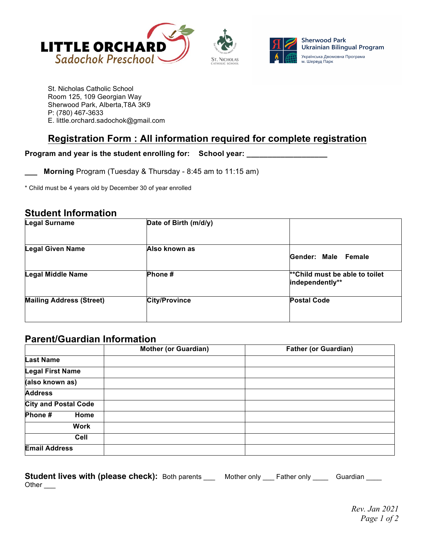



St. Nicholas Catholic School Room 125, 109 Georgian Way Sherwood Park, Alberta,T8A 3K9 P: (780) 467-3633 E. little.orchard.sadochok@gmail.com

# **Registration Form : All information required for complete registration**

### **Program and year is the student enrolling for: School year: \_\_\_\_\_\_\_\_\_\_\_\_\_\_\_\_\_\_\_**

**\_\_\_ Morning** Program (Tuesday & Thursday - 8:45 am to 11:15 am)

\* Child must be 4 years old by December 30 of year enrolled

## **Student Information**

| <b>Legal Surname</b>            | Date of Birth (m/d/y) |                                                    |
|---------------------------------|-----------------------|----------------------------------------------------|
| <b>Legal Given Name</b>         | Also known as         | Gender: Male Female                                |
| <b>Legal Middle Name</b>        | Phone#                | ** Child must be able to toilet<br>independently** |
| <b>Mailing Address (Street)</b> | <b>City/Province</b>  | <b>Postal Code</b>                                 |
|                                 |                       |                                                    |

## **Parent/Guardian Information**

|                             | <b>Mother (or Guardian)</b> | <b>Father (or Guardian)</b> |
|-----------------------------|-----------------------------|-----------------------------|
| <b>Last Name</b>            |                             |                             |
| <b>Legal First Name</b>     |                             |                             |
| (also known as)             |                             |                             |
| <b>Address</b>              |                             |                             |
| <b>City and Postal Code</b> |                             |                             |
| Phone#<br>Home              |                             |                             |
| Work                        |                             |                             |
| Cell                        |                             |                             |
| <b>Email Address</b>        |                             |                             |

| Student lives with (please check): Both parents |  | Mother only ____ Father only ____ | Guardian |
|-------------------------------------------------|--|-----------------------------------|----------|
| Other                                           |  |                                   |          |